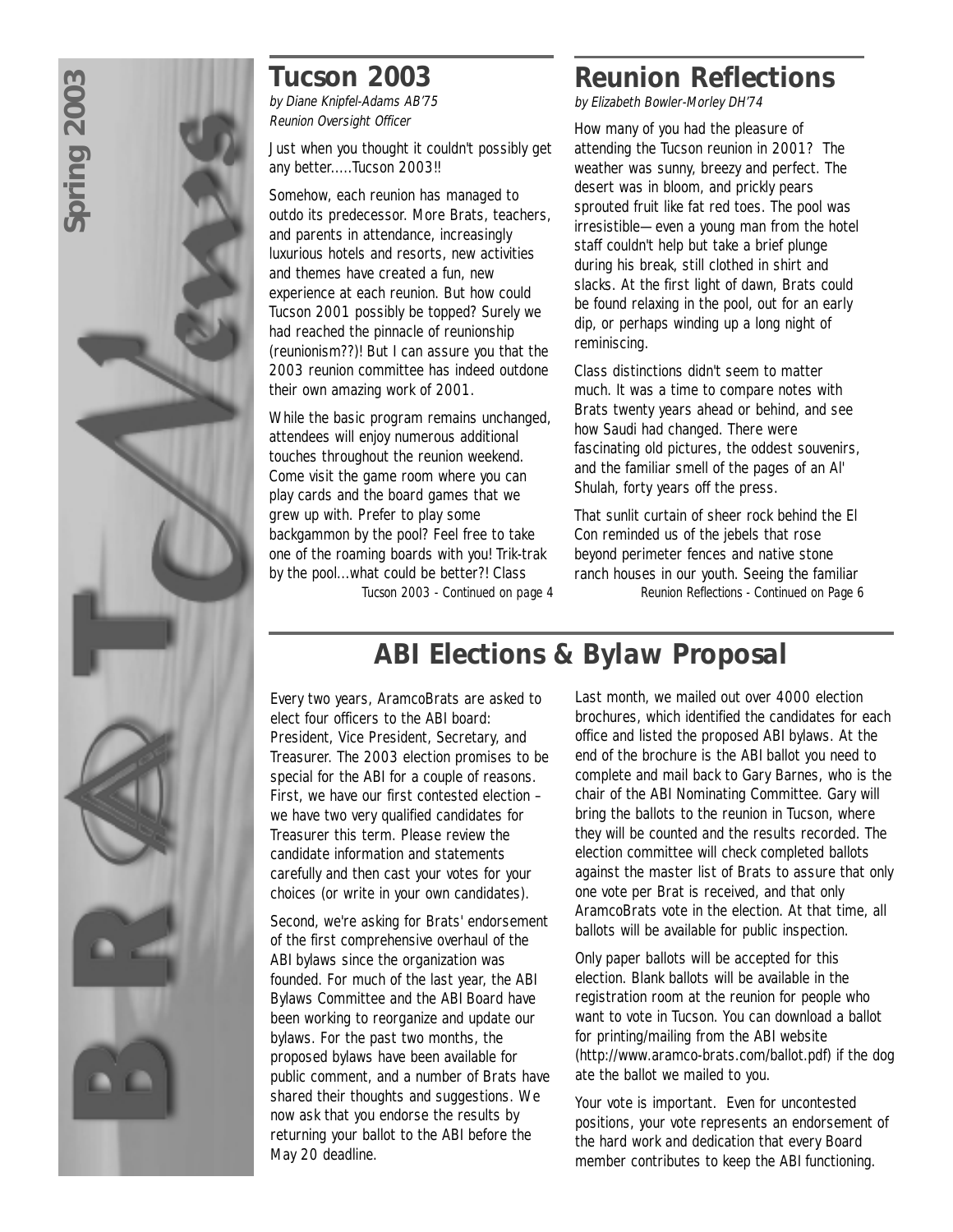# *Tucson 2003*

by Diane Knipfel-Adams AB'75 Reunion Oversight Officer

Just when you thought it couldn't possibly get any better.....Tucson 2003!!

Somehow, each reunion has managed to outdo its predecessor. More Brats, teachers, and parents in attendance, increasingly luxurious hotels and resorts, new activities and themes have created a fun, new experience at each reunion. But how could Tucson 2001 possibly be topped? Surely we had reached the pinnacle of reunionship (reunionism??)! But I can assure you that the 2003 reunion committee has indeed outdone their own amazing work of 2001.

While the basic program remains unchanged, attendees will enjoy numerous additional touches throughout the reunion weekend. Come visit the game room where you can play cards and the board games that we grew up with. Prefer to play some backgammon by the pool? Feel free to take one of the roaming boards with you! Trik-trak by the pool...what could be better?! Class

*Tucson 2003 - Continued on page 4*

# *Reunion Reflections*

by Elizabeth Bowler-Morley DH'74

How many of you had the pleasure of attending the Tucson reunion in 2001? The weather was sunny, breezy and perfect. The desert was in bloom, and prickly pears sprouted fruit like fat red toes. The pool was irresistible—even a young man from the hotel staff couldn't help but take a brief plunge during his break, still clothed in shirt and slacks. At the first light of dawn, Brats could be found relaxing in the pool, out for an early dip, or perhaps winding up a long night of reminiscing.

Class distinctions didn't seem to matter much. It was a time to compare notes with Brats twenty years ahead or behind, and see how Saudi had changed. There were fascinating old pictures, the oddest souvenirs, and the familiar smell of the pages of an Al' Shulah, forty years off the press.

That sunlit curtain of sheer rock behind the El Con reminded us of the jebels that rose beyond perimeter fences and native stone ranch houses in our youth. Seeing the familiar *Reunion Reflections - Continued on Page 6*

# *ABI Elections & Bylaw Proposal*

Every two years, AramcoBrats are asked to elect four officers to the ABI board: President, Vice President, Secretary, and Treasurer. The 2003 election promises to be special for the ABI for a couple of reasons. First, we have our first contested election – we have two very qualified candidates for Treasurer this term. Please review the candidate information and statements carefully and then cast your votes for your choices (or write in your own candidates).

Second, we're asking for Brats' endorsement of the first comprehensive overhaul of the ABI bylaws since the organization was founded. For much of the last year, the ABI Bylaws Committee and the ABI Board have been working to reorganize and update our bylaws. For the past two months, the proposed bylaws have been available for public comment, and a number of Brats have shared their thoughts and suggestions. We now ask that you endorse the results by returning your ballot to the ABI before the May 20 deadline.

Last month, we mailed out over 4000 election brochures, which identified the candidates for each office and listed the proposed ABI bylaws. At the end of the brochure is the ABI ballot you need to complete and mail back to Gary Barnes, who is the chair of the ABI Nominating Committee. Gary will bring the ballots to the reunion in Tucson, where they will be counted and the results recorded. The election committee will check completed ballots against the master list of Brats to assure that only one vote per Brat is received, and that only AramcoBrats vote in the election. At that time, all ballots will be available for public inspection.

Only paper ballots will be accepted for this election. Blank ballots will be available in the registration room at the reunion for people who want to vote in Tucson. You can download a ballot for printing/mailing from the ABI website (http://www.aramco-brats.com/ballot.pdf) if the dog ate the ballot we mailed to you.

Your vote is important. Even for uncontested positions, your vote represents an endorsement of the hard work and dedication that every Board member contributes to keep the ABI functioning.

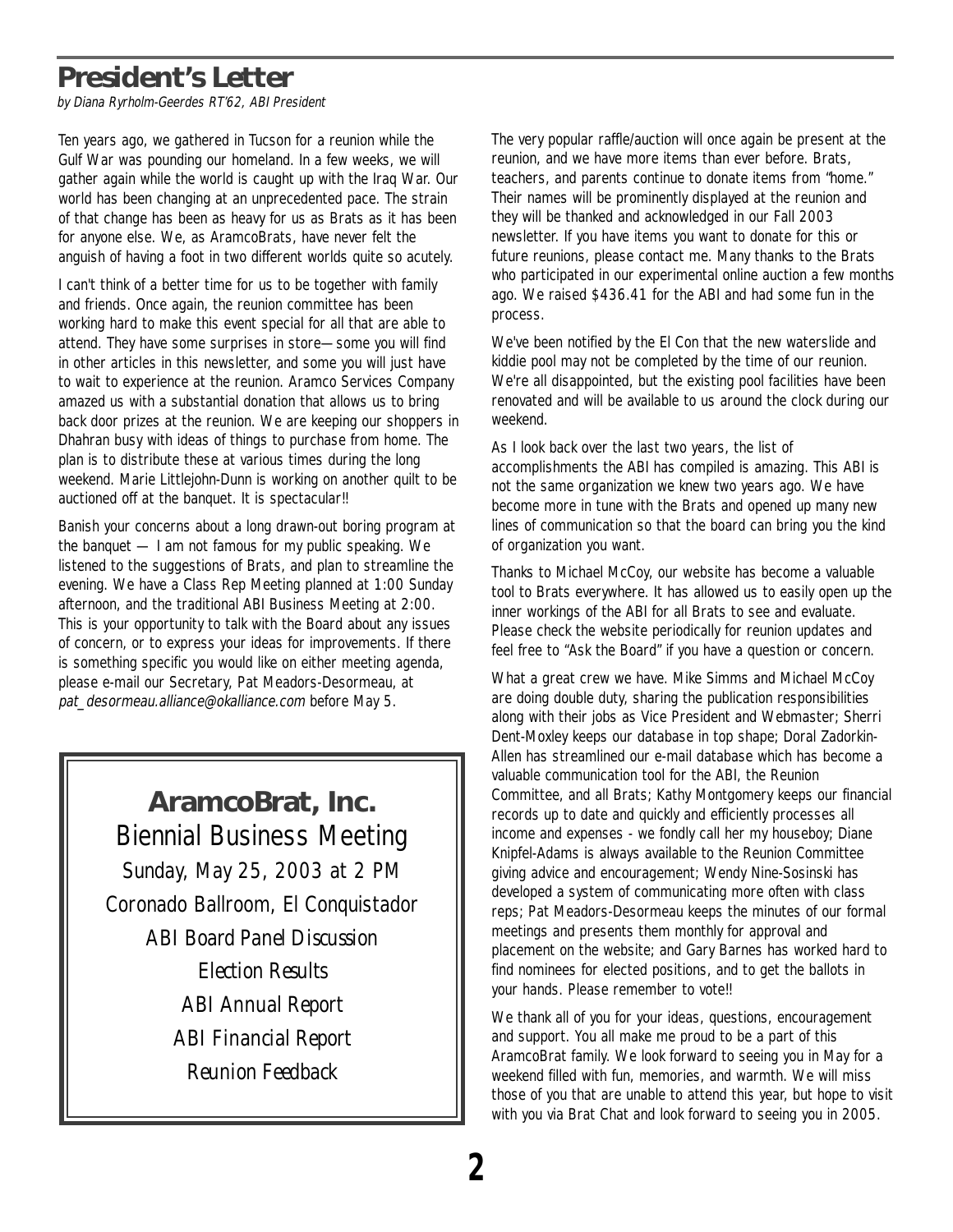# **President's Letter**

by Diana Ryrholm-Geerdes RT'62, ABI President

Ten years ago, we gathered in Tucson for a reunion while the Gulf War was pounding our homeland. In a few weeks, we will gather again while the world is caught up with the Iraq War. Our world has been changing at an unprecedented pace. The strain of that change has been as heavy for us as Brats as it has been for anyone else. We, as AramcoBrats, have never felt the anguish of having a foot in two different worlds quite so acutely.

I can't think of a better time for us to be together with family and friends. Once again, the reunion committee has been working hard to make this event special for all that are able to attend. They have some surprises in store—some you will find in other articles in this newsletter, and some you will just have to wait to experience at the reunion. Aramco Services Company amazed us with a substantial donation that allows us to bring back door prizes at the reunion. We are keeping our shoppers in Dhahran busy with ideas of things to purchase from home. The plan is to distribute these at various times during the long weekend. Marie Littlejohn-Dunn is working on another quilt to be auctioned off at the banquet. It is spectacular!!

Banish your concerns about a long drawn-out boring program at the banquet — I am not famous for my public speaking. We listened to the suggestions of Brats, and plan to streamline the evening. We have a Class Rep Meeting planned at 1:00 Sunday afternoon, and the traditional ABI Business Meeting at 2:00. This is your opportunity to talk with the Board about any issues of concern, or to express your ideas for improvements. If there is something specific you would like on either meeting agenda, please e-mail our Secretary, Pat Meadors-Desormeau, at pat\_desormeau.alliance@okalliance.com before May 5.

> **AramcoBrat, Inc.** Biennial Business Meeting Sunday, May 25, 2003 at 2 PM Coronado Ballroom, El Conquistador *ABI Board Panel Discussion Election Results ABI Annual Report ABI Financial Report Reunion Feedback*

The very popular raffle/auction will once again be present at the reunion, and we have more items than ever before. Brats, teachers, and parents continue to donate items from "home." Their names will be prominently displayed at the reunion and they will be thanked and acknowledged in our Fall 2003 newsletter. If you have items you want to donate for this or future reunions, please contact me. Many thanks to the Brats who participated in our experimental online auction a few months ago. We raised \$436.41 for the ABI and had some fun in the process.

We've been notified by the El Con that the new waterslide and kiddie pool may not be completed by the time of our reunion. We're all disappointed, but the existing pool facilities have been renovated and will be available to us around the clock during our weekend.

As I look back over the last two years, the list of accomplishments the ABI has compiled is amazing. This ABI is not the same organization we knew two years ago. We have become more in tune with the Brats and opened up many new lines of communication so that the board can bring you the kind of organization you want.

Thanks to Michael McCoy, our website has become a valuable tool to Brats everywhere. It has allowed us to easily open up the inner workings of the ABI for all Brats to see and evaluate. Please check the website periodically for reunion updates and feel free to "Ask the Board" if you have a question or concern.

What a great crew we have. Mike Simms and Michael McCoy are doing double duty, sharing the publication responsibilities along with their jobs as Vice President and Webmaster; Sherri Dent-Moxley keeps our database in top shape; Doral Zadorkin-Allen has streamlined our e-mail database which has become a valuable communication tool for the ABI, the Reunion Committee, and all Brats; Kathy Montgomery keeps our financial records up to date and quickly and efficiently processes all income and expenses - we fondly call her my houseboy; Diane Knipfel-Adams is always available to the Reunion Committee giving advice and encouragement; Wendy Nine-Sosinski has developed a system of communicating more often with class reps; Pat Meadors-Desormeau keeps the minutes of our formal meetings and presents them monthly for approval and placement on the website; and Gary Barnes has worked hard to find nominees for elected positions, and to get the ballots in your hands. Please remember to vote!!

We thank all of you for your ideas, questions, encouragement and support. You all make me proud to be a part of this AramcoBrat family. We look forward to seeing you in May for a weekend filled with fun, memories, and warmth. We will miss those of you that are unable to attend this year, but hope to visit with you via Brat Chat and look forward to seeing you in 2005.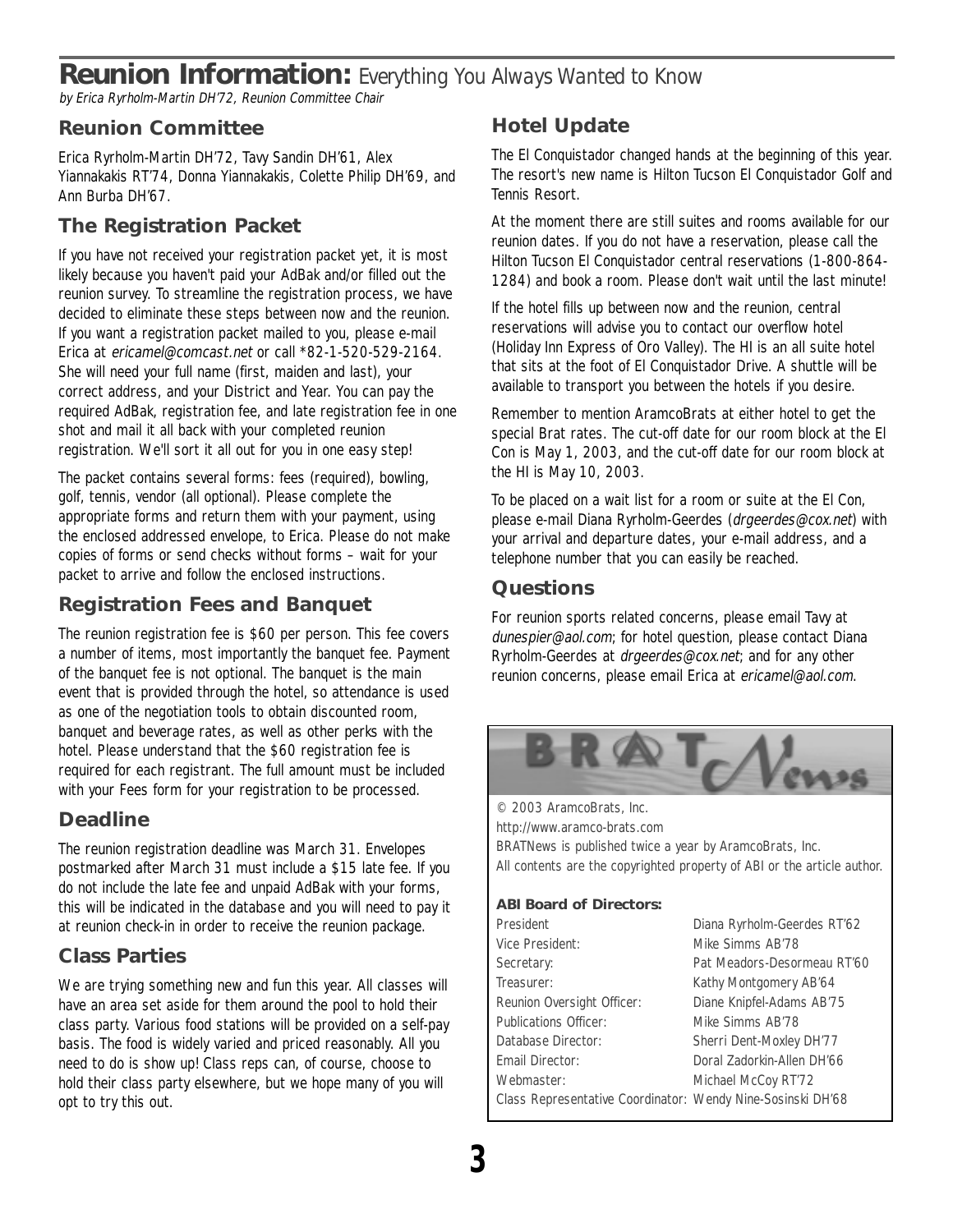### **Reunion Information:** *Everything You Always Wanted to Know*

by Erica Ryrholm-Martin DH'72, Reunion Committee Chair

#### **Reunion Committee**

Erica Ryrholm-Martin DH'72, Tavy Sandin DH'61, Alex Yiannakakis RT'74, Donna Yiannakakis, Colette Philip DH'69, and Ann Burba DH'67.

#### **The Registration Packet**

If you have not received your registration packet yet, it is most likely because you haven't paid your AdBak and/or filled out the reunion survey. To streamline the registration process, we have decided to eliminate these steps between now and the reunion. If you want a registration packet mailed to you, please e-mail Erica at ericamel@comcast.net or call \*82-1-520-529-2164. She will need your full name (first, maiden and last), your correct address, and your District and Year. You can pay the required AdBak, registration fee, and late registration fee in one shot and mail it all back with your completed reunion registration. We'll sort it all out for you in one easy step!

The packet contains several forms: fees (required), bowling, golf, tennis, vendor (all optional). Please complete the appropriate forms and return them with your payment, using the enclosed addressed envelope, to Erica. Please do not make copies of forms or send checks without forms – wait for your packet to arrive and follow the enclosed instructions.

#### **Registration Fees and Banquet**

The reunion registration fee is \$60 per person. This fee covers a number of items, most importantly the banquet fee. Payment of the banquet fee is not optional. The banquet is the main event that is provided through the hotel, so attendance is used as one of the negotiation tools to obtain discounted room, banquet and beverage rates, as well as other perks with the hotel. Please understand that the \$60 registration fee is required for each registrant. The full amount must be included with your Fees form for your registration to be processed.

#### **Deadline**

The reunion registration deadline was March 31. Envelopes postmarked after March 31 must include a \$15 late fee. If you do not include the late fee and unpaid AdBak with your forms, this will be indicated in the database and you will need to pay it at reunion check-in in order to receive the reunion package.

#### **Class Parties**

We are trying something new and fun this year. All classes will have an area set aside for them around the pool to hold their class party. Various food stations will be provided on a self-pay basis. The food is widely varied and priced reasonably. All you need to do is show up! Class reps can, of course, choose to hold their class party elsewhere, but we hope many of you will opt to try this out.

#### **Hotel Update**

The El Conquistador changed hands at the beginning of this year. The resort's new name is Hilton Tucson El Conquistador Golf and Tennis Resort.

At the moment there are still suites and rooms available for our reunion dates. If you do not have a reservation, please call the Hilton Tucson El Conquistador central reservations (1-800-864- 1284) and book a room. Please don't wait until the last minute!

If the hotel fills up between now and the reunion, central reservations will advise you to contact our overflow hotel (Holiday Inn Express of Oro Valley). The HI is an all suite hotel that sits at the foot of El Conquistador Drive. A shuttle will be available to transport you between the hotels if you desire.

Remember to mention AramcoBrats at either hotel to get the special Brat rates. The cut-off date for our room block at the El Con is May 1, 2003, and the cut-off date for our room block at the HI is May 10, 2003.

To be placed on a wait list for a room or suite at the El Con, please e-mail Diana Ryrholm-Geerdes (drgeerdes@cox.net) with your arrival and departure dates, your e-mail address, and a telephone number that you can easily be reached.

#### **Questions**

For reunion sports related concerns, please email Tavy at dunespier@aol.com; for hotel question, please contact Diana Ryrholm-Geerdes at drgeerdes@cox.net; and for any other reunion concerns, please email Erica at ericamel@aol.com.



© 2003 AramcoBrats, Inc. http://www.aramco-brats.com BRATNews is published twice a year by AramcoBrats, Inc. All contents are the copyrighted property of ABI or the article author.

#### **ABI Board of Directors:**

| President                                                   | Diana Ryrholm-Geerdes RT'62 |
|-------------------------------------------------------------|-----------------------------|
| Vice President:                                             | Mike Simms AB'78            |
| Secretary:                                                  | Pat Meadors-Desormeau RT'60 |
| Treasurer:                                                  | Kathy Montgomery AB'64      |
| Reunion Oversight Officer:                                  | Diane Knipfel-Adams AB'75   |
| <b>Publications Officer:</b>                                | Mike Simms AB'78            |
| Database Director:                                          | Sherri Dent-Moxley DH'77    |
| Email Director:                                             | Doral Zadorkin-Allen DH'66  |
| Webmaster:                                                  | Michael McCoy RT'72         |
| Class Representative Coordinator: Wendy Nine-Sosinski DH'68 |                             |
|                                                             |                             |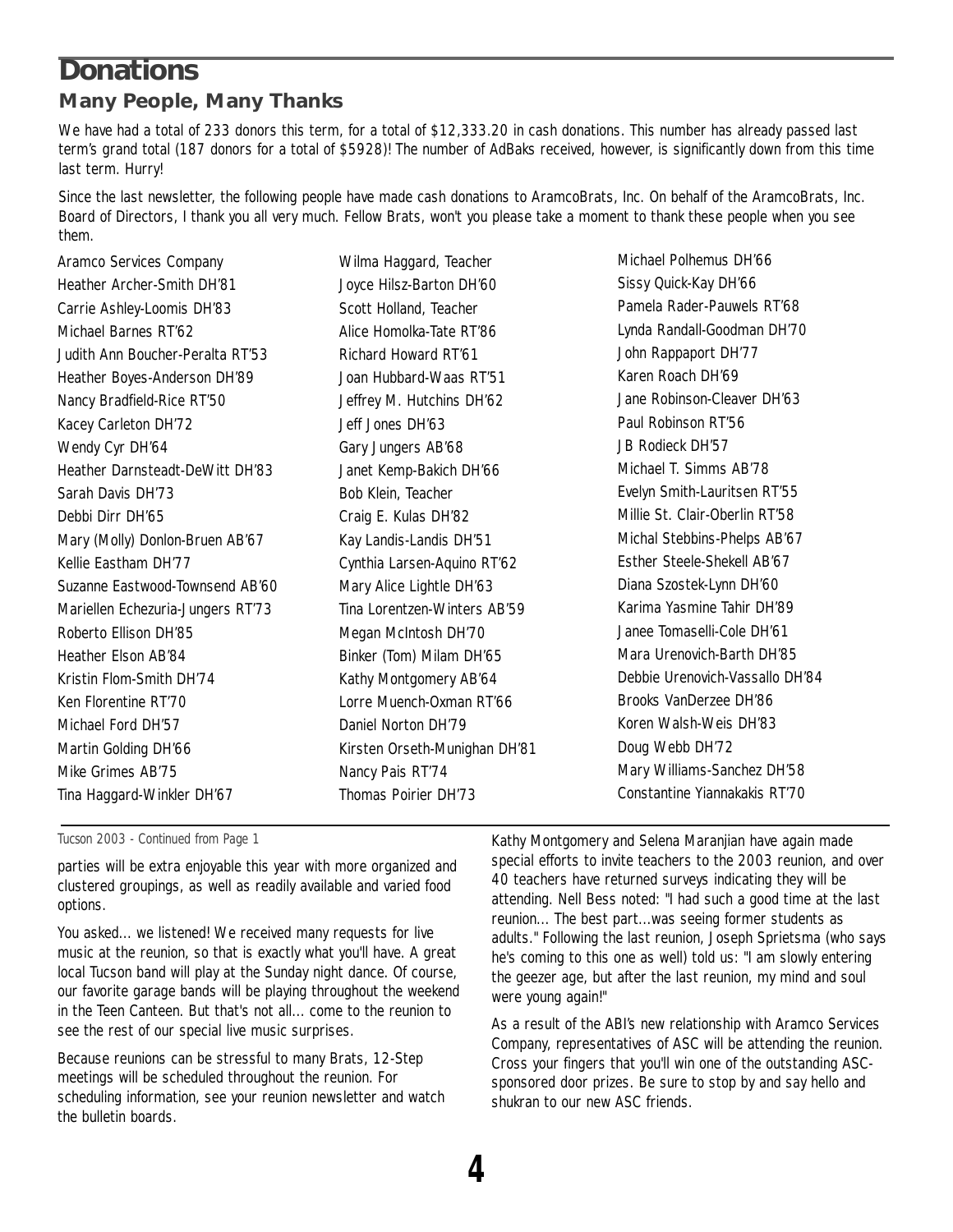### **Donations Many People, Many Thanks**

We have had a total of 233 donors this term, for a total of \$12,333.20 in cash donations. This number has already passed last term's grand total (187 donors for a total of \$5928)! The number of AdBaks received, however, is significantly down from this time last term. Hurry!

Since the last newsletter, the following people have made cash donations to AramcoBrats, Inc. On behalf of the AramcoBrats, Inc. Board of Directors, I thank you all very much. Fellow Brats, won't you please take a moment to thank these people when you see them.

Aramco Services Company Heather Archer-Smith DH'81 Carrie Ashley-Loomis DH'83 Michael Barnes RT'62 Judith Ann Boucher-Peralta RT'53 Heather Boyes-Anderson DH'89 Nancy Bradfield-Rice RT'50 Kacey Carleton DH'72 Wendy Cyr DH'64 Heather Darnsteadt-DeWitt DH'83 Sarah Davis DH'73 Debbi Dirr DH'65 Mary (Molly) Donlon-Bruen AB'67 Kellie Eastham DH'77 Suzanne Eastwood-Townsend AB'60 Mariellen Echezuria-Jungers RT'73 Roberto Ellison DH'85 Heather Elson AB'84 Kristin Flom-Smith DH'74 Ken Florentine RT'70 Michael Ford DH'57 Martin Golding DH'66 Mike Grimes AB'75 Tina Haggard-Winkler DH'67

Wilma Haggard, Teacher Joyce Hilsz-Barton DH'60 Scott Holland, Teacher Alice Homolka-Tate RT'86 Richard Howard RT'61 Joan Hubbard-Waas RT'51 Jeffrey M. Hutchins DH'62 Jeff Jones DH'63 Gary Jungers AB'68 Janet Kemp-Bakich DH'66 Bob Klein, Teacher Craig E. Kulas DH'82 Kay Landis-Landis DH'51 Cynthia Larsen-Aquino RT'62 Mary Alice Lightle DH'63 Tina Lorentzen-Winters AB'59 Megan McIntosh DH'70 Binker (Tom) Milam DH'65 Kathy Montgomery AB'64 Lorre Muench-Oxman RT'66 Daniel Norton DH'79 Kirsten Orseth-Munighan DH'81 Nancy Pais RT'74 Thomas Poirier DH'73

Michael Polhemus DH'66 Sissy Quick-Kay DH'66 Pamela Rader-Pauwels RT'68 Lynda Randall-Goodman DH'70 John Rappaport DH'77 Karen Roach DH'69 Jane Robinson-Cleaver DH'63 Paul Robinson RT'56 JB Rodieck DH'57 Michael T. Simms AB'78 Evelyn Smith-Lauritsen RT'55 Millie St. Clair-Oberlin RT'58 Michal Stebbins-Phelps AB'67 Esther Steele-Shekell AB'67 Diana Szostek-Lynn DH'60 Karima Yasmine Tahir DH'89 Janee Tomaselli-Cole DH'61 Mara Urenovich-Barth DH'85 Debbie Urenovich-Vassallo DH'84 Brooks VanDerzee DH'86 Koren Walsh-Weis DH'83 Doug Webb DH'72 Mary Williams-Sanchez DH'58 Constantine Yiannakakis RT'70

*Tucson 2003 - Continued from Page 1*

parties will be extra enjoyable this year with more organized and clustered groupings, as well as readily available and varied food options.

You asked... we listened! We received many requests for live music at the reunion, so that is exactly what you'll have. A great local Tucson band will play at the Sunday night dance. Of course, our favorite garage bands will be playing throughout the weekend in the Teen Canteen. But that's not all... come to the reunion to see the rest of our special live music surprises.

Because reunions can be stressful to many Brats, 12-Step meetings will be scheduled throughout the reunion. For scheduling information, see your reunion newsletter and watch the bulletin boards.

Kathy Montgomery and Selena Maranjian have again made special efforts to invite teachers to the 2003 reunion, and over 40 teachers have returned surveys indicating they will be attending. Nell Bess noted: "I had such a good time at the last reunion... The best part...was seeing former students as adults." Following the last reunion, Joseph Sprietsma (who says he's coming to this one as well) told us: "I am slowly entering the geezer age, but after the last reunion, my mind and soul were young again!"

As a result of the ABI's new relationship with Aramco Services Company, representatives of ASC will be attending the reunion. Cross your fingers that you'll win one of the outstanding ASCsponsored door prizes. Be sure to stop by and say hello and shukran to our new ASC friends.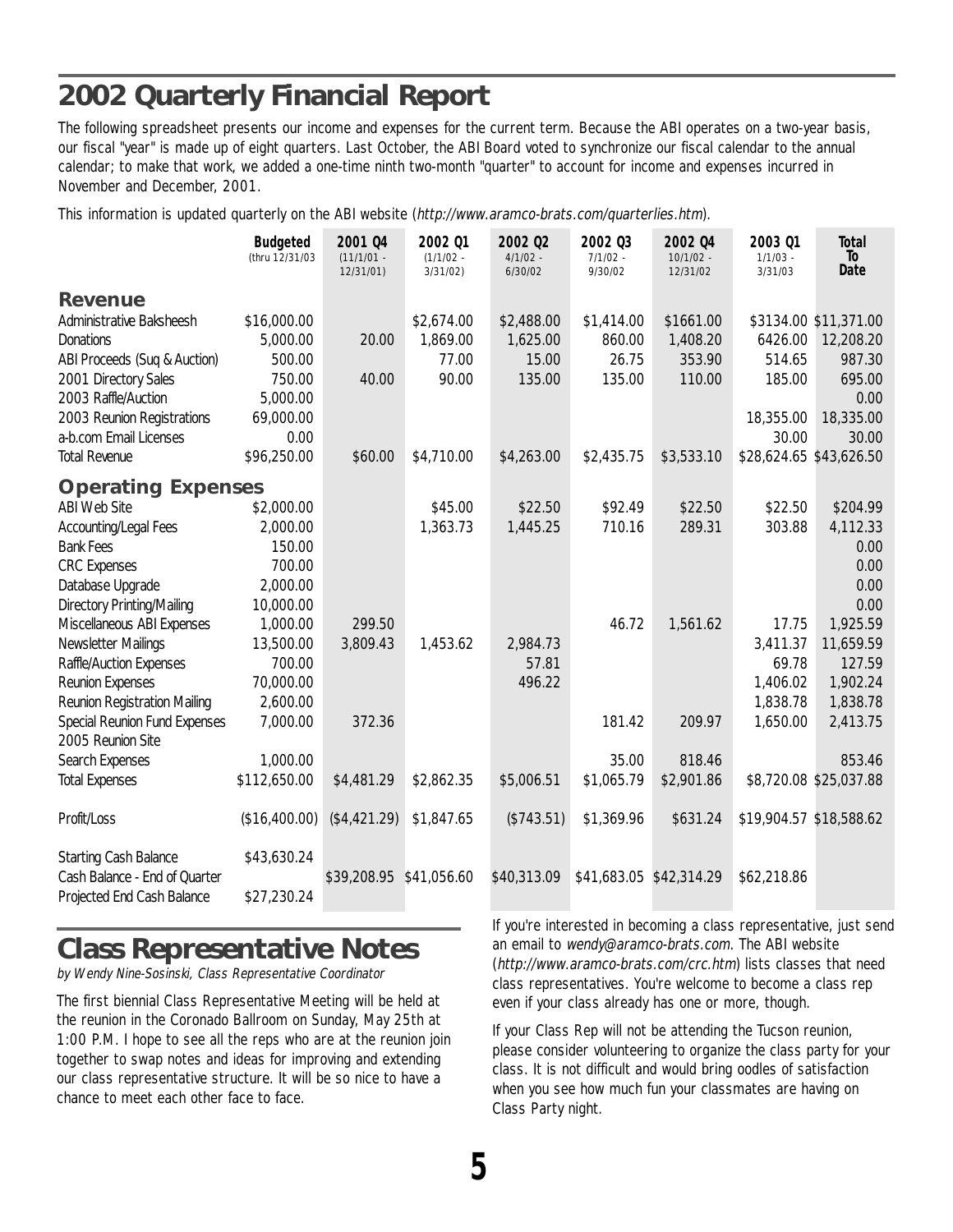# **2002 Quarterly Financial Report**

The following spreadsheet presents our income and expenses for the current term. Because the ABI operates on a two-year basis, our fiscal "year" is made up of eight quarters. Last October, the ABI Board voted to synchronize our fiscal calendar to the annual calendar; to make that work, we added a one-time ninth two-month "quarter" to account for income and expenses incurred in November and December, 2001.

This information is updated quarterly on the ABI website (http://www.aramco-brats.com/quarterlies.htm).

|                               | <b>Budgeted</b><br>(thru 12/31/03 | 2001 04<br>$(11/1/01 -$ | 2002 01<br>$(1/1/02 -$ | 2002 02<br>$4/1/02 -$ | 2002 03<br>$7/1/02 -$   | 2002 04<br>$10/1/02 -$ | 2003 01<br>$1/1/03$ -   | <b>Total</b><br>To     |
|-------------------------------|-----------------------------------|-------------------------|------------------------|-----------------------|-------------------------|------------------------|-------------------------|------------------------|
|                               |                                   | 12/31/01)               | 3/31/02                | 6/30/02               | 9/30/02                 | 12/31/02               | 3/31/03                 | Date                   |
| Revenue                       |                                   |                         |                        |                       |                         |                        |                         |                        |
| Administrative Baksheesh      | \$16,000.00                       |                         | \$2,674.00             | \$2,488.00            | \$1,414.00              | \$1661.00              |                         | \$3134.00 \$11,371.00  |
| <b>Donations</b>              | 5,000.00                          | 20.00                   | 1,869.00               | 1,625.00              | 860.00                  | 1,408.20               | 6426.00                 | 12,208.20              |
| ABI Proceeds (Suq & Auction)  | 500.00                            |                         | 77.00                  | 15.00                 | 26.75                   | 353.90                 | 514.65                  | 987.30                 |
| 2001 Directory Sales          | 750.00                            | 40.00                   | 90.00                  | 135.00                | 135.00                  | 110.00                 | 185.00                  | 695.00                 |
| 2003 Raffle/Auction           | 5,000.00                          |                         |                        |                       |                         |                        |                         | 0.00                   |
| 2003 Reunion Registrations    | 69,000.00                         |                         |                        |                       |                         |                        | 18,355.00               | 18,335.00              |
| a-b.com Email Licenses        | 0.00                              |                         |                        |                       |                         |                        | 30.00                   | 30.00                  |
| <b>Total Revenue</b>          | \$96,250.00                       | \$60.00                 | \$4,710.00             | \$4,263.00            | \$2,435.75              | \$3,533.10             | \$28,624.65 \$43,626.50 |                        |
| <b>Operating Expenses</b>     |                                   |                         |                        |                       |                         |                        |                         |                        |
| <b>ABI Web Site</b>           | \$2,000.00                        |                         | \$45.00                | \$22.50               | \$92.49                 | \$22.50                | \$22.50                 | \$204.99               |
| Accounting/Legal Fees         | 2,000.00                          |                         | 1,363.73               | 1,445.25              | 710.16                  | 289.31                 | 303.88                  | 4,112.33               |
| <b>Bank Fees</b>              | 150.00                            |                         |                        |                       |                         |                        |                         | 0.00                   |
| <b>CRC</b> Expenses           | 700.00                            |                         |                        |                       |                         |                        |                         | 0.00                   |
| Database Upgrade              | 2,000.00                          |                         |                        |                       |                         |                        |                         | 0.00                   |
| Directory Printing/Mailing    | 10,000.00                         |                         |                        |                       |                         |                        |                         | 0.00                   |
| Miscellaneous ABI Expenses    | 1,000.00                          | 299.50                  |                        |                       | 46.72                   | 1,561.62               | 17.75                   | 1,925.59               |
| Newsletter Mailings           | 13,500.00                         | 3,809.43                | 1,453.62               | 2,984.73              |                         |                        | 3,411.37                | 11,659.59              |
| Raffle/Auction Expenses       | 700.00                            |                         |                        | 57.81                 |                         |                        | 69.78                   | 127.59                 |
| Reunion Expenses              | 70,000.00                         |                         |                        | 496.22                |                         |                        | 1,406.02                | 1,902.24               |
| Reunion Registration Mailing  | 2,600.00                          |                         |                        |                       |                         |                        | 1,838.78                | 1,838.78               |
| Special Reunion Fund Expenses | 7,000.00                          | 372.36                  |                        |                       | 181.42                  | 209.97                 | 1,650.00                | 2,413.75               |
| 2005 Reunion Site             |                                   |                         |                        |                       |                         |                        |                         |                        |
| Search Expenses               | 1,000.00                          |                         |                        |                       | 35.00                   | 818.46                 |                         | 853.46                 |
| <b>Total Expenses</b>         | \$112,650.00                      | \$4,481.29              | \$2,862.35             | \$5,006.51            | \$1,065.79              | \$2,901.86             |                         | \$8,720.08 \$25,037.88 |
| Profit/Loss                   | (\$16,400.00)                     | (\$4,421.29)            | \$1,847.65             | (\$743.51)            | \$1,369.96              | \$631.24               | \$19,904.57 \$18,588.62 |                        |
| <b>Starting Cash Balance</b>  | \$43,630.24                       |                         |                        |                       |                         |                        |                         |                        |
| Cash Balance - End of Quarter |                                   | \$39,208.95 \$41,056.60 |                        | \$40,313.09           | \$41,683.05 \$42,314.29 |                        | \$62,218.86             |                        |
| Projected End Cash Balance    | \$27,230.24                       |                         |                        |                       |                         |                        |                         |                        |

# **Class Representative Notes**

by Wendy Nine-Sosinski, Class Representative Coordinator

The first biennial Class Representative Meeting will be held at the reunion in the Coronado Ballroom on Sunday, May 25th at 1:00 P.M. I hope to see all the reps who are at the reunion join together to swap notes and ideas for improving and extending our class representative structure. It will be so nice to have a chance to meet each other face to face.

If you're interested in becoming a class representative, just send an email to wendy@aramco-brats.com. The ABI website (http://www.aramco-brats.com/crc.htm) lists classes that need class representatives. You're welcome to become a class rep even if your class already has one or more, though.

If your Class Rep will not be attending the Tucson reunion, please consider volunteering to organize the class party for your class. It is not difficult and would bring oodles of satisfaction when you see how much fun your classmates are having on Class Party night.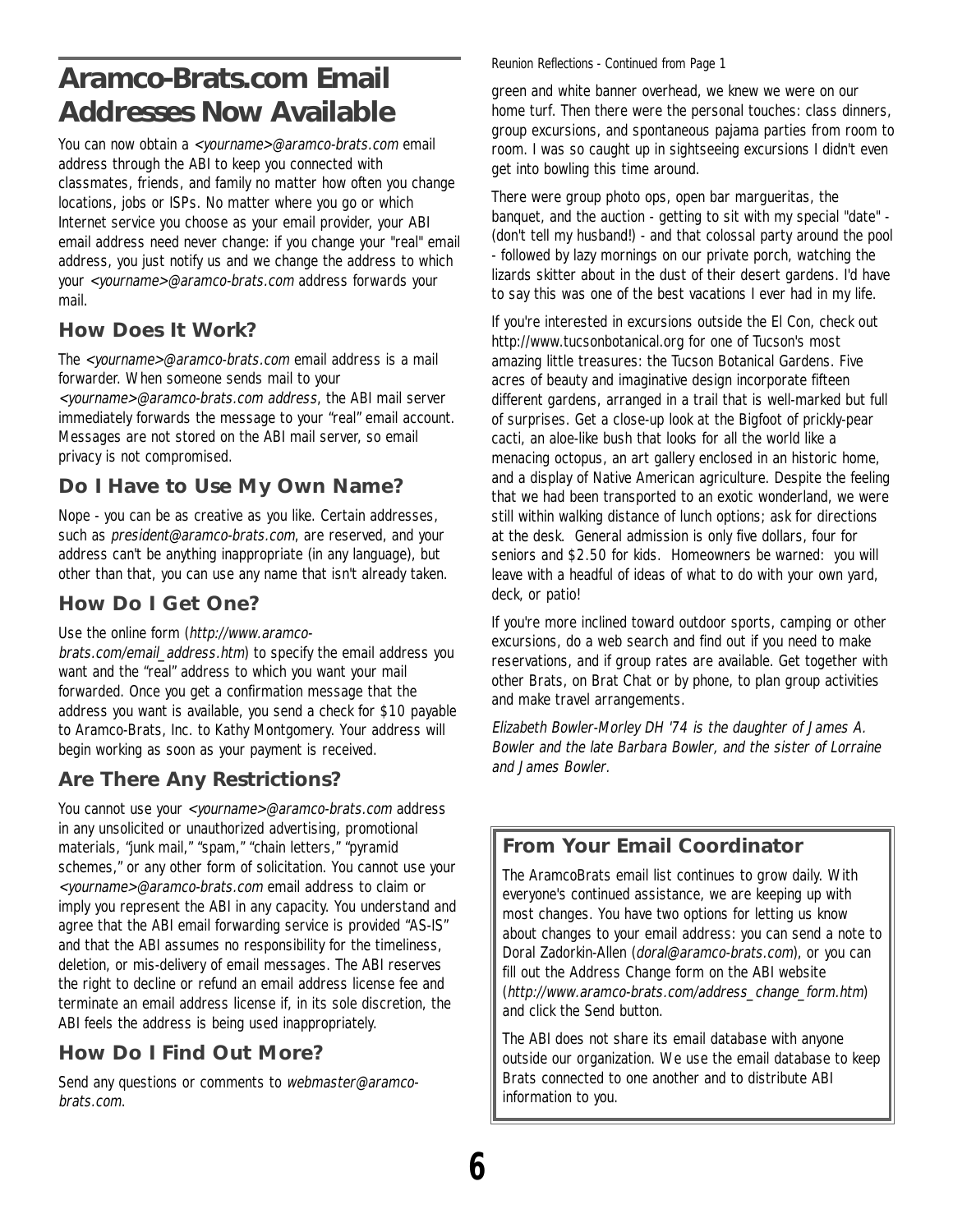# **Aramco-Brats.com Email Addresses Now Available**

You can now obtain a <yourname>@aramco-brats.com email address through the ABI to keep you connected with classmates, friends, and family no matter how often you change locations, jobs or ISPs. No matter where you go or which Internet service you choose as your email provider, your ABI email address need never change: if you change your "real" email address, you just notify us and we change the address to which your <yourname>@aramco-brats.com address forwards your mail.

#### **How Does It Work?**

The <yourname>@aramco-brats.com email address is a mail forwarder. When someone sends mail to your <yourname>@aramco-brats.com address, the ABI mail server

immediately forwards the message to your "real" email account. Messages are not stored on the ABI mail server, so email privacy is not compromised.

### **Do I Have to Use My Own Name?**

Nope - you can be as creative as you like. Certain addresses, such as president@aramco-brats.com, are reserved, and your address can't be anything inappropriate (in any language), but other than that, you can use any name that isn't already taken.

### **How Do I Get One?**

#### Use the online form (http://www.aramco-

brats.com/email\_address.htm) to specify the email address you want and the "real" address to which you want your mail forwarded. Once you get a confirmation message that the address you want is available, you send a check for \$10 payable to Aramco-Brats, Inc. to Kathy Montgomery. Your address will begin working as soon as your payment is received.

### **Are There Any Restrictions?**

You cannot use your <yourname>@aramco-brats.com address in any unsolicited or unauthorized advertising, promotional materials, "junk mail," "spam," "chain letters," "pyramid schemes," or any other form of solicitation. You cannot use your <yourname>@aramco-brats.com email address to claim or imply you represent the ABI in any capacity. You understand and agree that the ABI email forwarding service is provided "AS-IS" and that the ABI assumes no responsibility for the timeliness, deletion, or mis-delivery of email messages. The ABI reserves the right to decline or refund an email address license fee and terminate an email address license if, in its sole discretion, the ABI feels the address is being used inappropriately.

### **How Do I Find Out More?**

Send any questions or comments to webmaster@aramcobrats.com.

#### *Reunion Reflections - Continued from Page 1*

green and white banner overhead, we knew we were on our home turf. Then there were the personal touches: class dinners, group excursions, and spontaneous pajama parties from room to room. I was so caught up in sightseeing excursions I didn't even get into bowling this time around.

There were group photo ops, open bar margueritas, the banquet, and the auction - getting to sit with my special "date" - (don't tell my husband!) - and that colossal party around the pool - followed by lazy mornings on our private porch, watching the lizards skitter about in the dust of their desert gardens. I'd have to say this was one of the best vacations I ever had in my life.

If you're interested in excursions outside the El Con, check out http://www.tucsonbotanical.org for one of Tucson's most amazing little treasures: the Tucson Botanical Gardens. Five acres of beauty and imaginative design incorporate fifteen different gardens, arranged in a trail that is well-marked but full of surprises. Get a close-up look at the Bigfoot of prickly-pear cacti, an aloe-like bush that looks for all the world like a menacing octopus, an art gallery enclosed in an historic home, and a display of Native American agriculture. Despite the feeling that we had been transported to an exotic wonderland, we were still within walking distance of lunch options; ask for directions at the desk. General admission is only five dollars, four for seniors and \$2.50 for kids. Homeowners be warned: you will leave with a headful of ideas of what to do with your own yard, deck, or patio!

If you're more inclined toward outdoor sports, camping or other excursions, do a web search and find out if you need to make reservations, and if group rates are available. Get together with other Brats, on Brat Chat or by phone, to plan group activities and make travel arrangements.

Elizabeth Bowler-Morley DH '74 is the daughter of James A. Bowler and the late Barbara Bowler, and the sister of Lorraine and James Bowler.

### **From Your Email Coordinator**

The AramcoBrats email list continues to grow daily. With everyone's continued assistance, we are keeping up with most changes. You have two options for letting us know about changes to your email address: you can send a note to Doral Zadorkin-Allen (doral@aramco-brats.com), or you can fill out the Address Change form on the ABI website (http://www.aramco-brats.com/address\_change\_form.htm) and click the Send button.

The ABI does not share its email database with anyone outside our organization. We use the email database to keep Brats connected to one another and to distribute ABI information to you.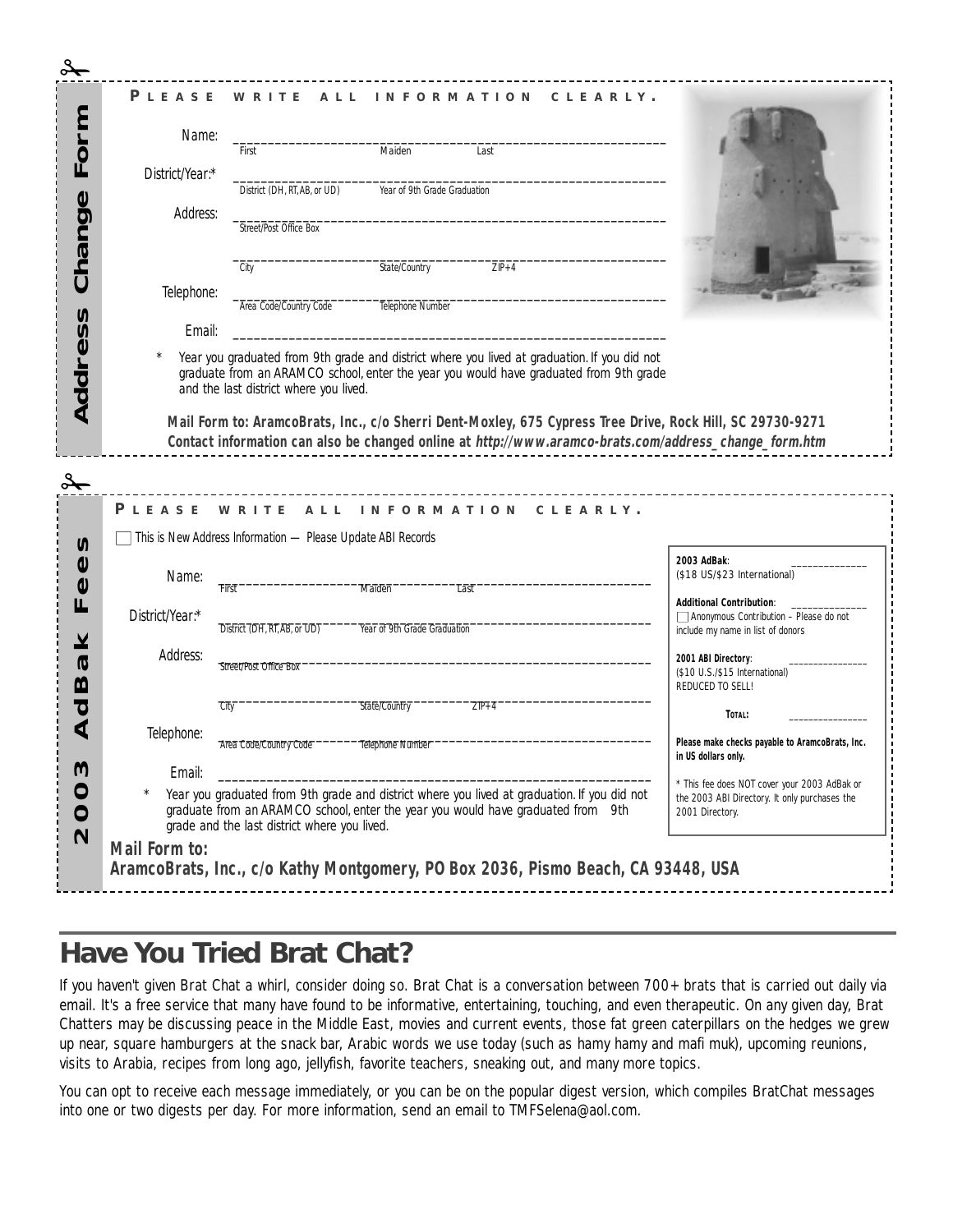| Name:           | First                                                       | Maiden                       | Last                                                                                                                                                                                                                                                        |                                                                                    |
|-----------------|-------------------------------------------------------------|------------------------------|-------------------------------------------------------------------------------------------------------------------------------------------------------------------------------------------------------------------------------------------------------------|------------------------------------------------------------------------------------|
| District/Year:* |                                                             |                              |                                                                                                                                                                                                                                                             |                                                                                    |
| Address:        | District (DH, RT, AB, or UD)                                | Year of 9th Grade Graduation |                                                                                                                                                                                                                                                             |                                                                                    |
|                 | Street/Post Office Box                                      |                              |                                                                                                                                                                                                                                                             |                                                                                    |
|                 | City                                                        | State/Country                | $ZIP+4$                                                                                                                                                                                                                                                     |                                                                                    |
| Telephone:      | Area Code/Country Code                                      | Telephone Number             |                                                                                                                                                                                                                                                             |                                                                                    |
| Fmail:          |                                                             |                              |                                                                                                                                                                                                                                                             |                                                                                    |
|                 |                                                             |                              |                                                                                                                                                                                                                                                             |                                                                                    |
|                 |                                                             |                              | Mail Form to: AramcoBrats, Inc., c/o Sherri Dent-Moxley, 675 Cypress Tree Drive, Rock Hill, SC 29730-9271<br>Contact information can also be changed online at http://www.aramco-brats.com/address_change_form.htm<br>PLEASE WRITE ALL INFORMATION CLEARLY. |                                                                                    |
|                 | This is New Address Information - Please Update ABI Records |                              |                                                                                                                                                                                                                                                             | 2003 AdBak:                                                                        |
| Name:           |                                                             |                              |                                                                                                                                                                                                                                                             | (\$18 US/\$23 International)                                                       |
|                 | First                                                       | Maiden                       | Last                                                                                                                                                                                                                                                        | <b>Additional Contribution:</b>                                                    |
| District/Year:* | District (DH, RT, AB, or UD)                                | Year of 9th Grade Graduation |                                                                                                                                                                                                                                                             | $\Box$ Anonymous Contribution - Please do not<br>include my name in list of donors |
| Address:        |                                                             |                              |                                                                                                                                                                                                                                                             | 2001 ABI Directory:                                                                |
|                 | Street/Post Office Box                                      |                              |                                                                                                                                                                                                                                                             | (\$10 U.S./\$15 International)                                                     |
|                 | City                                                        | State/Country                | $ZIP+4$                                                                                                                                                                                                                                                     | REDUCED TO SELL!                                                                   |
| Telephone:      |                                                             |                              |                                                                                                                                                                                                                                                             | TOTAL:                                                                             |
| Email:          | Area Code/Country Code                                      | Telephone Number             |                                                                                                                                                                                                                                                             | Please make checks payable to AramcoBrats, Inc.<br>in US dollars only.             |
|                 |                                                             |                              |                                                                                                                                                                                                                                                             |                                                                                    |

# **Have You Tried Brat Chat?**

If you haven't given Brat Chat a whirl, consider doing so. Brat Chat is a conversation between 700+ brats that is carried out daily via email. It's a free service that many have found to be informative, entertaining, touching, and even therapeutic. On any given day, Brat Chatters may be discussing peace in the Middle East, movies and current events, those fat green caterpillars on the hedges we grew up near, square hamburgers at the snack bar, Arabic words we use today (such as hamy hamy and mafi muk), upcoming reunions, visits to Arabia, recipes from long ago, jellyfish, favorite teachers, sneaking out, and many more topics.

You can opt to receive each message immediately, or you can be on the popular digest version, which compiles BratChat messages into one or two digests per day. For more information, send an email to TMFSelena@aol.com.